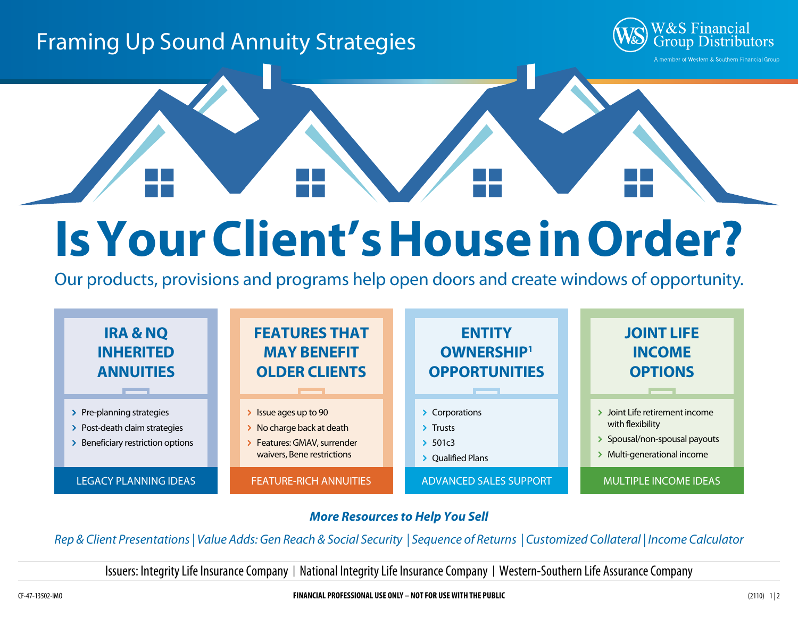# Framing Up Sound Annuity Strategies



# **Is Your Client's House in Order?**

Our products, provisions and programs help open doors and create windows of opportunity.



### *More Resources to Help You Sell*

*Rep & Client Presentations | Value Adds: Gen Reach & Social Security | Sequence of Returns | Customized Collateral | Income Calculator*

Issuers: Integrity Life Insurance Company | National Integrity Life Insurance Company | Western-Southern Life Assurance Company